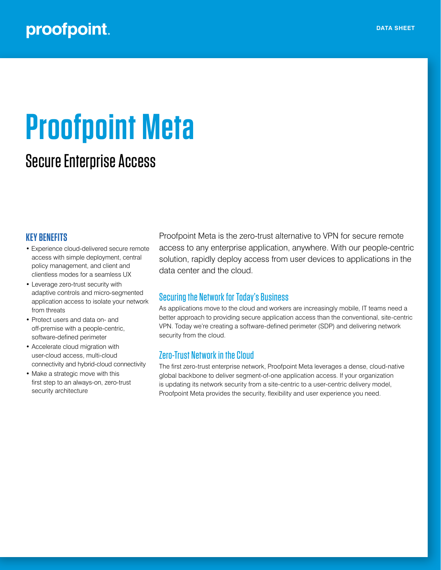# proofpoint.

# **Proofpoint Meta**

## Secure Enterprise Access

#### **KEY BENEFITS**

- Experience cloud-delivered secure remote access with simple deployment, central policy management, and client and clientless modes for a seamless UX
- Leverage zero-trust security with adaptive controls and micro-segmented application access to isolate your network from threats
- Protect users and data on- and off-premise with a people-centric, software-defined perimeter
- Accelerate cloud migration with user-cloud access, multi-cloud connectivity and hybrid-cloud connectivity
- Make a strategic move with this first step to an always-on, zero-trust security architecture

Proofpoint Meta is the zero-trust alternative to VPN for secure remote access to any enterprise application, anywhere. With our people-centric solution, rapidly deploy access from user devices to applications in the data center and the cloud.

#### Securing the Network for Today's Business

As applications move to the cloud and workers are increasingly mobile, IT teams need a better approach to providing secure application access than the conventional, site-centric VPN. Today we're creating a software-defined perimeter (SDP) and delivering network security from the cloud.

### Zero-Trust Network in the Cloud

The first zero-trust enterprise network, Proofpoint Meta leverages a dense, cloud-native global backbone to deliver segment-of-one application access. If your organization is updating its network security from a site-centric to a user-centric delivery model, Proofpoint Meta provides the security, flexibility and user experience you need.